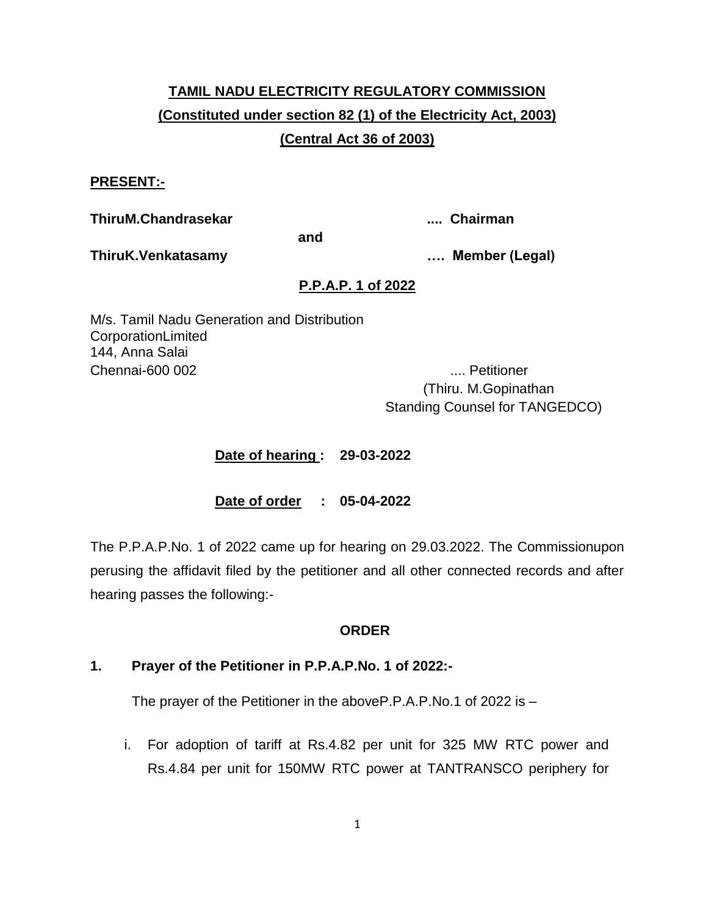# **TAMIL NADU ELECTRICITY REGULATORY COMMISSION (Constituted under section 82 (1) of the Electricity Act, 2003) (Central Act 36 of 2003)**

### **PRESENT:-**

**ThiruM.Chandrasekar .... Chairman**

**and**

**ThiruK.Venkatasamy …. Member (Legal)**

## **P.P.A.P. 1 of 2022**

M/s. Tamil Nadu Generation and Distribution **CorporationLimited** 144, Anna Salai Chennai-600 002 .... Petitioner

(Thiru. M.Gopinathan Standing Counsel for TANGEDCO)

**Date of hearing : 29-03-2022**

**Date of order : 05-04-2022**

The P.P.A.P.No. 1 of 2022 came up for hearing on 29.03.2022. The Commissionupon perusing the affidavit filed by the petitioner and all other connected records and after hearing passes the following:-

## **ORDER**

## **1. Prayer of the Petitioner in P.P.A.P.No. 1 of 2022:-**

The prayer of the Petitioner in the aboveP.P.A.P.No.1 of 2022 is –

i. For adoption of tariff at Rs.4.82 per unit for 325 MW RTC power and Rs.4.84 per unit for 150MW RTC power at TANTRANSCO periphery for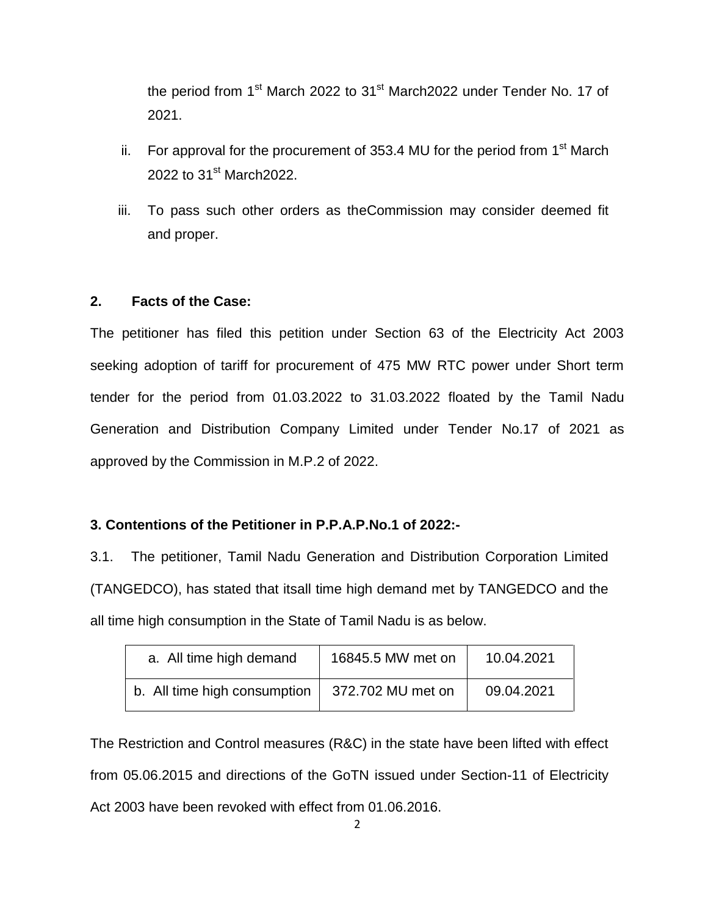the period from 1<sup>st</sup> March 2022 to 31<sup>st</sup> March2022 under Tender No. 17 of 2021.

- ii. For approval for the procurement of 353.4 MU for the period from  $1<sup>st</sup>$  March 2022 to 31<sup>st</sup> March2022.
- iii. To pass such other orders as theCommission may consider deemed fit and proper.

#### **2. Facts of the Case:**

The petitioner has filed this petition under Section 63 of the Electricity Act 2003 seeking adoption of tariff for procurement of 475 MW RTC power under Short term tender for the period from 01.03.2022 to 31.03.2022 floated by the Tamil Nadu Generation and Distribution Company Limited under Tender No.17 of 2021 as approved by the Commission in M.P.2 of 2022.

#### **3. Contentions of the Petitioner in P.P.A.P.No.1 of 2022:-**

3.1. The petitioner, Tamil Nadu Generation and Distribution Corporation Limited (TANGEDCO), has stated that itsall time high demand met by TANGEDCO and the all time high consumption in the State of Tamil Nadu is as below.

| a. All time high demand      | 16845.5 MW met on | 10.04.2021 |  |
|------------------------------|-------------------|------------|--|
| b. All time high consumption | 372.702 MU met on | 09.04.2021 |  |

The Restriction and Control measures (R&C) in the state have been lifted with effect from 05.06.2015 and directions of the GoTN issued under Section-11 of Electricity Act 2003 have been revoked with effect from 01.06.2016.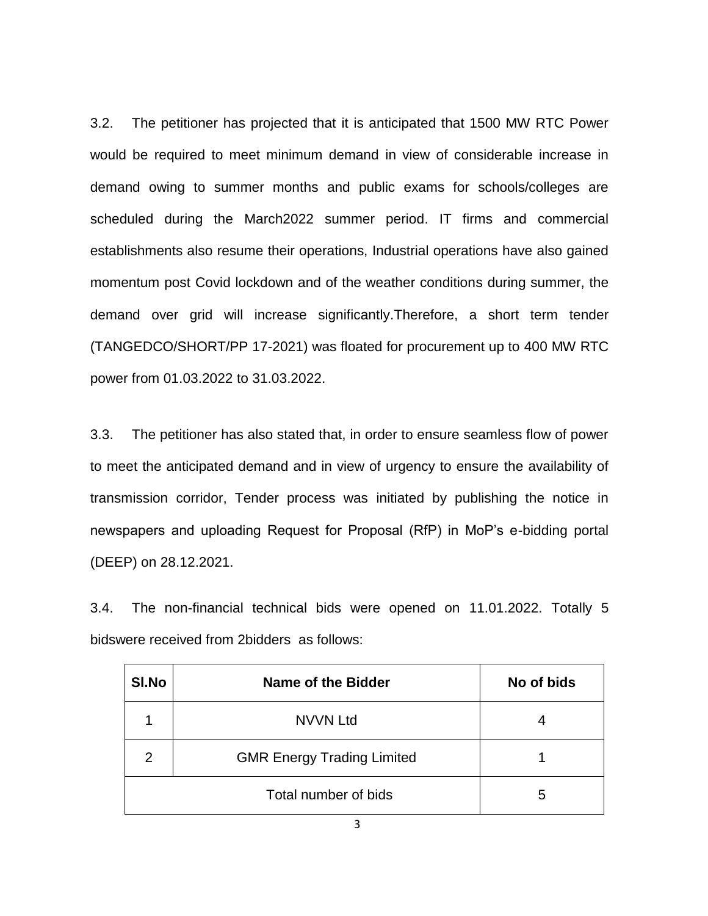3.2. The petitioner has projected that it is anticipated that 1500 MW RTC Power would be required to meet minimum demand in view of considerable increase in demand owing to summer months and public exams for schools/colleges are scheduled during the March2022 summer period. IT firms and commercial establishments also resume their operations, Industrial operations have also gained momentum post Covid lockdown and of the weather conditions during summer, the demand over grid will increase significantly.Therefore, a short term tender (TANGEDCO/SHORT/PP 17-2021) was floated for procurement up to 400 MW RTC power from 01.03.2022 to 31.03.2022.

3.3. The petitioner has also stated that, in order to ensure seamless flow of power to meet the anticipated demand and in view of urgency to ensure the availability of transmission corridor, Tender process was initiated by publishing the notice in newspapers and uploading Request for Proposal (RfP) in MoP's e-bidding portal (DEEP) on 28.12.2021.

3.4. The non-financial technical bids were opened on 11.01.2022. Totally 5 bidswere received from 2bidders as follows:

| SI.No | Name of the Bidder                | No of bids |
|-------|-----------------------------------|------------|
|       | <b>NVVN Ltd</b>                   |            |
| 2     | <b>GMR Energy Trading Limited</b> |            |
|       | Total number of bids              | 5          |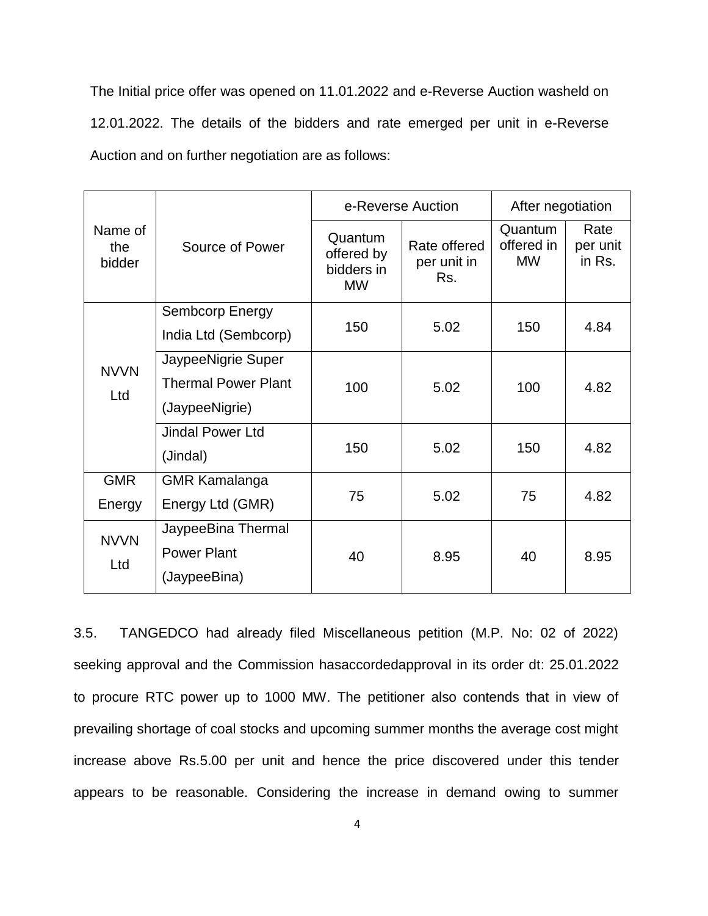The Initial price offer was opened on 11.01.2022 and e-Reverse Auction washeld on 12.01.2022. The details of the bidders and rate emerged per unit in e-Reverse Auction and on further negotiation are as follows:

|                          |                            | e-Reverse Auction                                |                                    | After negotiation                  |                            |
|--------------------------|----------------------------|--------------------------------------------------|------------------------------------|------------------------------------|----------------------------|
| Name of<br>the<br>bidder | Source of Power            | Quantum<br>offered by<br>bidders in<br><b>MW</b> | Rate offered<br>per unit in<br>Rs. | Quantum<br>offered in<br><b>MW</b> | Rate<br>per unit<br>in Rs. |
|                          | Sembcorp Energy            | 150                                              | 5.02                               | 150                                | 4.84                       |
| <b>NVVN</b><br>Ltd       | India Ltd (Sembcorp)       |                                                  |                                    |                                    |                            |
|                          | JaypeeNigrie Super         |                                                  |                                    |                                    |                            |
|                          | <b>Thermal Power Plant</b> | 100                                              | 5.02                               | 100                                | 4.82                       |
|                          | (JaypeeNigrie)             |                                                  |                                    |                                    |                            |
|                          | <b>Jindal Power Ltd</b>    |                                                  | 5.02                               | 150                                | 4.82                       |
|                          | (Jindal)                   | 150                                              |                                    |                                    |                            |
| <b>GMR</b>               | <b>GMR Kamalanga</b>       |                                                  | 5.02                               | 75                                 | 4.82                       |
| Energy                   | Energy Ltd (GMR)           | 75                                               |                                    |                                    |                            |
| <b>NVVN</b><br>Ltd       | JaypeeBina Thermal         |                                                  | 8.95                               | 40                                 | 8.95                       |
|                          | <b>Power Plant</b>         | 40                                               |                                    |                                    |                            |
|                          | (JaypeeBina)               |                                                  |                                    |                                    |                            |

3.5. TANGEDCO had already filed Miscellaneous petition (M.P. No: 02 of 2022) seeking approval and the Commission hasaccordedapproval in its order dt: 25.01.2022 to procure RTC power up to 1000 MW. The petitioner also contends that in view of prevailing shortage of coal stocks and upcoming summer months the average cost might increase above Rs.5.00 per unit and hence the price discovered under this tender appears to be reasonable. Considering the increase in demand owing to summer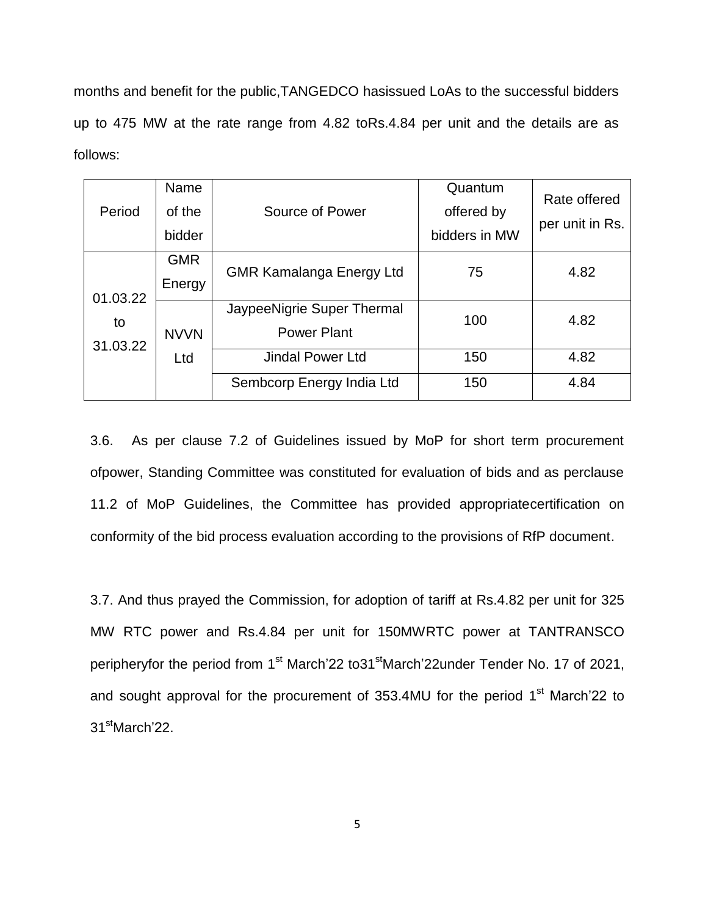months and benefit for the public,TANGEDCO hasissued LoAs to the successful bidders up to 475 MW at the rate range from 4.82 toRs.4.84 per unit and the details are as follows:

| Period                            | Name<br>of the<br>bidder | Source of Power                                  | Quantum<br>offered by<br>bidders in MW | Rate offered<br>per unit in Rs. |
|-----------------------------------|--------------------------|--------------------------------------------------|----------------------------------------|---------------------------------|
| 01.03.22<br>to<br>31.03.22<br>Ltd | <b>GMR</b><br>Energy     | <b>GMR Kamalanga Energy Ltd</b>                  | 75                                     | 4.82                            |
|                                   | <b>NVVN</b>              | JaypeeNigrie Super Thermal<br><b>Power Plant</b> | 100                                    | 4.82                            |
|                                   |                          | <b>Jindal Power Ltd</b>                          | 150                                    | 4.82                            |
|                                   |                          | Sembcorp Energy India Ltd                        | 150                                    | 4.84                            |

3.6. As per clause 7.2 of Guidelines issued by MoP for short term procurement ofpower, Standing Committee was constituted for evaluation of bids and as perclause 11.2 of MoP Guidelines, the Committee has provided appropriatecertification on conformity of the bid process evaluation according to the provisions of RfP document.

3.7. And thus prayed the Commission, for adoption of tariff at Rs.4.82 per unit for 325 MW RTC power and Rs.4.84 per unit for 150MWRTC power at TANTRANSCO peripheryfor the period from 1<sup>st</sup> March'22 to31<sup>st</sup>March'22under Tender No. 17 of 2021, and sought approval for the procurement of 353.4MU for the period 1<sup>st</sup> March'22 to 31<sup>st</sup>March'22.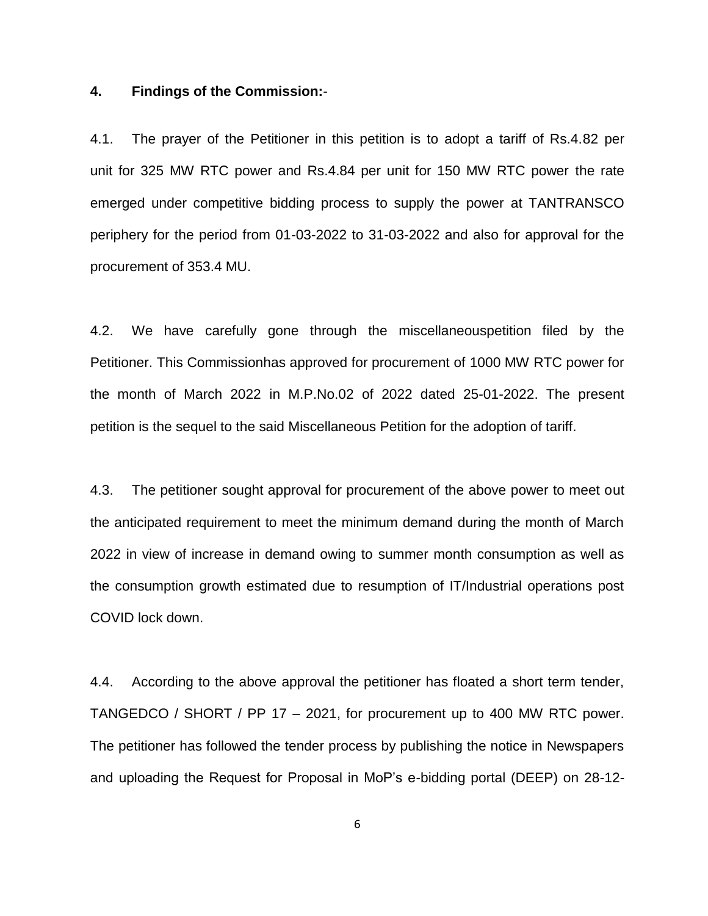#### **4. Findings of the Commission:**-

4.1. The prayer of the Petitioner in this petition is to adopt a tariff of Rs.4.82 per unit for 325 MW RTC power and Rs.4.84 per unit for 150 MW RTC power the rate emerged under competitive bidding process to supply the power at TANTRANSCO periphery for the period from 01-03-2022 to 31-03-2022 and also for approval for the procurement of 353.4 MU.

4.2. We have carefully gone through the miscellaneouspetition filed by the Petitioner. This Commissionhas approved for procurement of 1000 MW RTC power for the month of March 2022 in M.P.No.02 of 2022 dated 25-01-2022. The present petition is the sequel to the said Miscellaneous Petition for the adoption of tariff.

4.3. The petitioner sought approval for procurement of the above power to meet out the anticipated requirement to meet the minimum demand during the month of March 2022 in view of increase in demand owing to summer month consumption as well as the consumption growth estimated due to resumption of IT/Industrial operations post COVID lock down.

4.4. According to the above approval the petitioner has floated a short term tender, TANGEDCO / SHORT / PP 17 – 2021, for procurement up to 400 MW RTC power. The petitioner has followed the tender process by publishing the notice in Newspapers and uploading the Request for Proposal in MoP's e-bidding portal (DEEP) on 28-12-

6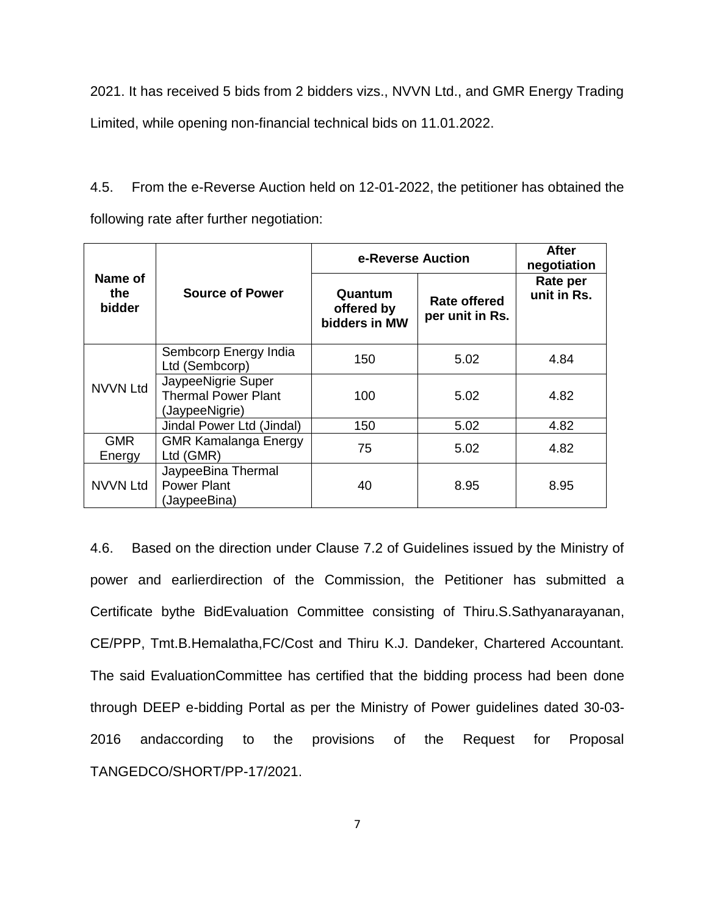2021. It has received 5 bids from 2 bidders vizs., NVVN Ltd., and GMR Energy Trading Limited, while opening non-financial technical bids on 11.01.2022.

4.5. From the e-Reverse Auction held on 12-01-2022, the petitioner has obtained the following rate after further negotiation:

|                                 |                                                                    | e-Reverse Auction                      |                                 | <b>After</b><br>negotiation |
|---------------------------------|--------------------------------------------------------------------|----------------------------------------|---------------------------------|-----------------------------|
| Name of<br>the<br><b>bidder</b> | <b>Source of Power</b>                                             | Quantum<br>offered by<br>bidders in MW | Rate offered<br>per unit in Rs. | Rate per<br>unit in Rs.     |
| <b>NVVN Ltd</b>                 | Sembcorp Energy India<br>Ltd (Sembcorp)                            | 150                                    | 5.02                            | 4.84                        |
|                                 | JaypeeNigrie Super<br><b>Thermal Power Plant</b><br>(JaypeeNigrie) | 100                                    | 5.02                            | 4.82                        |
|                                 | Jindal Power Ltd (Jindal)                                          | 150                                    | 5.02                            | 4.82                        |
| <b>GMR</b><br>Energy            | <b>GMR Kamalanga Energy</b><br>Ltd (GMR)                           | 75                                     | 5.02                            | 4.82                        |
| <b>NVVN Ltd</b>                 | JaypeeBina Thermal<br><b>Power Plant</b><br>(JaypeeBina)           | 40                                     | 8.95                            | 8.95                        |

4.6. Based on the direction under Clause 7.2 of Guidelines issued by the Ministry of power and earlierdirection of the Commission, the Petitioner has submitted a Certificate bythe BidEvaluation Committee consisting of Thiru.S.Sathyanarayanan, CE/PPP, Tmt.B.Hemalatha,FC/Cost and Thiru K.J. Dandeker, Chartered Accountant. The said EvaluationCommittee has certified that the bidding process had been done through DEEP e-bidding Portal as per the Ministry of Power guidelines dated 30-03- 2016 andaccording to the provisions of the Request for Proposal TANGEDCO/SHORT/PP-17/2021.